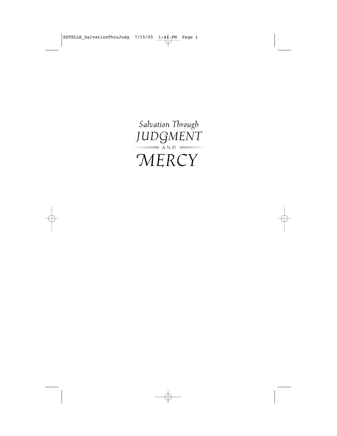$\fbox{ESTELLE\_SalvationThruJudg} \quad 7/15/05 \underbrace{1:4}_{\quad \ \ \, \textrm{PM}}\quad \ \ \, \text{Page i}$ 

# *Salvation Through JUDGMENT*  AND *MERCY*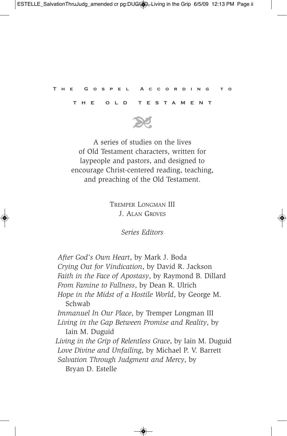ESTELLE\_SalvationThruJudg\_amended cr pg:DUG( $\clubsuit$ ), Living in the Grip 6/5/09 12:13 PM Page ii

**T he Gospel According to THE OLD TESTAMENT**



A series of studies on the lives of Old Testament characters, written for laypeople and pastors, and designed to encourage Christ-centered reading, teaching, and preaching of the Old Testament.

> TREMPER LONGMAN III J. ALAN GROVES

> > *Series Editors*

*After God's Own Heart*, by Mark J. Boda  *Crying Out for Vindication*, by David R. Jackson *Faith in the Face of Apostasy*, by Raymond B. Dillard *From Famine to Fullness*, by Dean R. Ulrich *Hope in the Midst of a Hostile World*, by George M. Schwab *Immanuel In Our Place*, by Tremper Longman III *Living in the Gap Between Promise and Reality*, by Iain M. Duguid *Living in the Grip of Relentless Grace*, by Iain M. Duguid *Love Divine and Unfailing*, by Michael P. V. Barrett *Salvation Through Judgment and Mercy*, by Bryan D. Estelle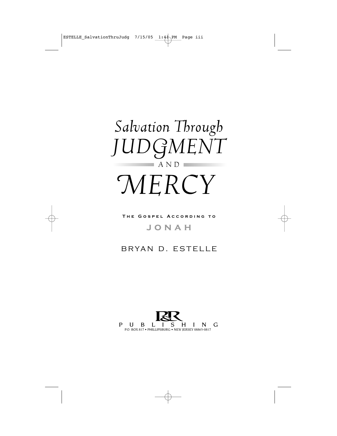$\fbox{ESTELLE\_SalvationThruJudg} \quad \ \, 7/15/05 \underbrace{-1:4}_{\quad \ \ \, \rightarrow \ \ \, \textrm{PM}} \quad \ \ \, \textrm{Page}\ \, \text{iii}$ 



**The Gospel According to jonah**

bryan d. estelle

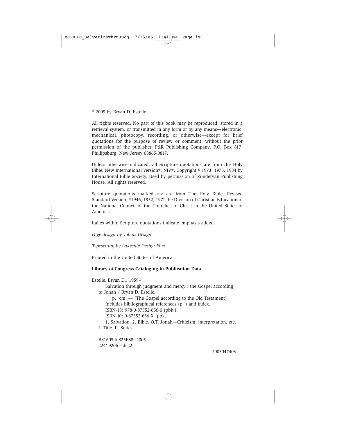ESTELLE\_SalvationThruJudg  $7/15/05$  1:44 PM Page iv

#### © 2005 by Bryan D. Estelle

All rights reserved. No part of this book may be reproduced, stored in a retrieval system, or transmitted in any form or by any means—electronic, mechanical, photocopy, recording, or otherwise—except for brief quotations for the purpose of review or comment, without the prior permission of the publisher, P&R Publishing Company, P.O. Box 817, Phillipsburg, New Jersey 08865-0817.

Unless otherwise indicated, all Scripture quotations are from the Holy Bible, New International Version®. NIV®. Copyright © 1973, 1978, 1984 by International Bible Society. Used by permission of Zondervan Publishing House. All rights reserved.

Scripture quotations marked RSV are from The Holy Bible, Revised Standard Version, ©1946, 1952, 1971 the Division of Christian Education of the National Council of the Churches of Christ in the United States of America.

Italics within Scripture quotations indicate emphasis added.

*Page design by Tobias Design*

*Typesetting by Lakeside Design Plus*

Printed in the United States of America

#### **Library of Congress Cataloging-in-Publication Data**

Estelle, Bryan D., 1959– Salvation through judgment and mercy : the Gospel according to Jonah / Bryan D. Estelle. p. cm. — (The Gospel according to the Old Testament) Includes bibliographical references (p. ) and index. ISBN-13: 978-0-87552-656-0 (pbk.) ISBN-10: 0-87552-656-X (pbk.)

1. Salvation. 2. Bible. O.T. Jonah—Criticism, interpretation, etc. I. Title. II. Series.

BS1605.6.S25E88 2005 224'.9206—dc22

2005047403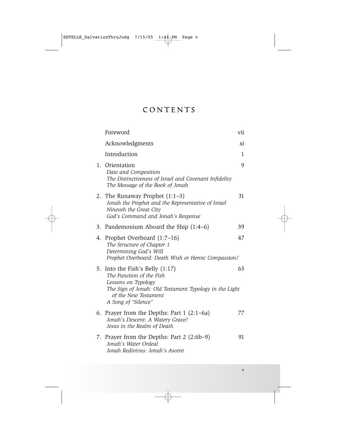$\left|\texttt{ESTELLE\_SalvationThruJudy} \quad 7/15/05 \underbrace{1:4}_{\texttt{20}} \texttt{PM} \quad \texttt{Page v} \right|$ 

## **CONTENTS**

|    | Foreword                                                                                                                                                                                    | vii |
|----|---------------------------------------------------------------------------------------------------------------------------------------------------------------------------------------------|-----|
|    | Acknowledgments                                                                                                                                                                             | xi  |
|    | Introduction                                                                                                                                                                                | 1   |
|    | 1. Orientation<br>Date and Composition<br>The Distinctiveness of Israel and Covenant Infidelity<br>The Message of the Book of Jonah                                                         | 9   |
|    | 2. The Runaway Prophet $(1:1-3)$<br>Jonah the Prophet and the Representative of Israel<br>Nineveh the Great City<br>God's Command and Jonah's Response                                      | 31  |
|    | 3. Pandemonium Aboard the Ship (1:4–6)                                                                                                                                                      | 39  |
|    | 4. Prophet Overboard (1:7–16)<br>The Structure of Chapter 1<br>Determining God's Will<br>Prophet Overboard: Death Wish or Heroic Compassion?                                                | 47  |
|    | 5. Into the Fish's Belly (1:17)<br>The Function of the Fish<br>Lessons on Typology<br>The Sign of Jonah: Old Testament Typology in the Light<br>of the New Testament<br>A Song of "Silence" | 63  |
| 6. | Prayer from the Depths: Part $1$ (2:1–6a)<br>Jonah's Descent: A Watery Grave?<br>Jesus in the Realm of Death                                                                                | 77  |
| 7. | Prayer from the Depths: Part 2 (2:6b–9)<br>Jonah's Water Ordeal<br>Jonah Redivivus: Jonah's Ascent                                                                                          | 91  |

**v**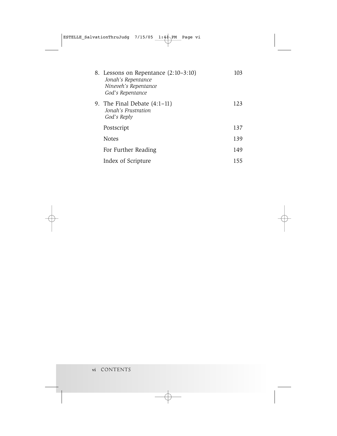$\fbox{\tt \tt ESTELLE\_SalvationThruJudg \quad 7/15/05 \_\_1:4\&\_- \texttt{PM} \quad \texttt{Page vi}}$ 

|    | 8. Lessons on Repentance (2:10-3:10)<br>Jonah's Repentance<br>Nineveh's Repentance<br>God's Repentance | 103 |
|----|--------------------------------------------------------------------------------------------------------|-----|
| 9. | The Final Debate $(4:1-11)$<br>Jonah's Frustration<br>God's Reply                                      | 123 |
|    | Postscript                                                                                             | 137 |
|    | <b>Notes</b>                                                                                           | 139 |
|    | For Further Reading                                                                                    | 149 |
|    | Index of Scripture                                                                                     | 155 |

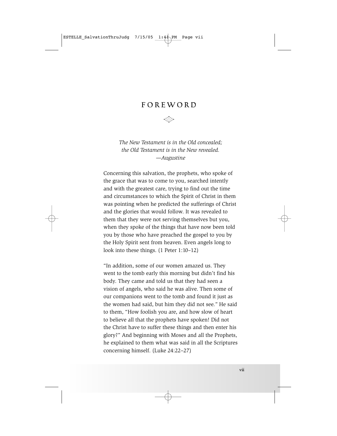## **FOREWORD**

# A

*The New Testament is in the Old concealed; the Old Testament is in the New revealed. —Augustine*

Concerning this salvation, the prophets, who spoke of the grace that was to come to you, searched intently and with the greatest care, trying to find out the time and circumstances to which the Spirit of Christ in them was pointing when he predicted the sufferings of Christ and the glories that would follow. It was revealed to them that they were not serving themselves but you, when they spoke of the things that have now been told you by those who have preached the gospel to you by the Holy Spirit sent from heaven. Even angels long to look into these things. (1 Peter 1:10–12)

"In addition, some of our women amazed us. They went to the tomb early this morning but didn't find his body. They came and told us that they had seen a vision of angels, who said he was alive. Then some of our companions went to the tomb and found it just as the women had said, but him they did not see." He said to them, "How foolish you are, and how slow of heart to believe all that the prophets have spoken! Did not the Christ have to suffer these things and then enter his glory?" And beginning with Moses and all the Prophets, he explained to them what was said in all the Scriptures concerning himself. (Luke 24:22–27)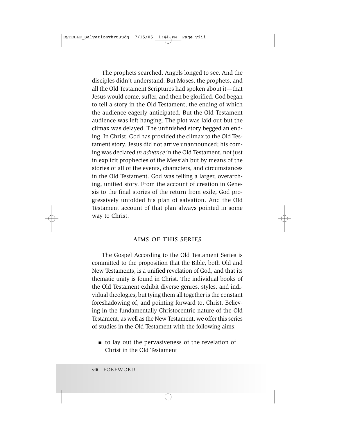The prophets searched. Angels longed to see. And the disciples didn't understand. But Moses, the prophets, and all the Old Testament Scriptures had spoken about it—that Jesus would come, suffer, and then be glorified. God began to tell a story in the Old Testament, the ending of which the audience eagerly anticipated. But the Old Testament audience was left hanging. The plot was laid out but the climax was delayed. The unfinished story begged an ending. In Christ, God has provided the climax to the Old Testament story. Jesus did not arrive unannounced; his coming was declared *in advance* in the Old Testament, not just in explicit prophecies of the Messiah but by means of the stories of all of the events, characters, and circumstances in the Old Testament. God was telling a larger, overarching, unified story. From the account of creation in Genesis to the final stories of the return from exile, God progressively unfolded his plan of salvation. And the Old Testament account of that plan always pointed in some way to Christ.

## **AIMS OF THIS SERIES**

The Gospel According to the Old Testament Series is committed to the proposition that the Bible, both Old and New Testaments, is a unified revelation of God, and that its thematic unity is found in Christ. The individual books of the Old Testament exhibit diverse genres, styles, and individual theologies, but tying them all together is the constant foreshadowing of, and pointing forward to, Christ. Believing in the fundamentally Christocentric nature of the Old Testament, as well as the New Testament, we offer this series of studies in the Old Testament with the following aims:

■ to lay out the pervasiveness of the revelation of Christ in the Old Testament

**viii** FOREWORD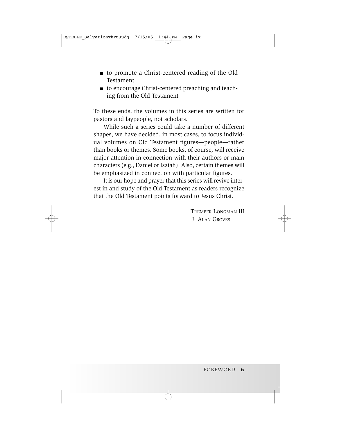ESTELLE\_SalvationThruJudg  $7/15/05$  1:41 PM Page ix

- to promote a Christ-centered reading of the Old Testament
- to encourage Christ-centered preaching and teaching from the Old Testament

To these ends, the volumes in this series are written for pastors and laypeople, not scholars.

While such a series could take a number of different shapes, we have decided, in most cases, to focus individual volumes on Old Testament figures—people—rather than books or themes. Some books, of course, will receive major attention in connection with their authors or main characters (e.g., Daniel or Isaiah). Also, certain themes will be emphasized in connection with particular figures.

It is our hope and prayer that this series will revive interest in and study of the Old Testament as readers recognize that the Old Testament points forward to Jesus Christ.

> TREMPER LONGMAN III J. ALAN GROVES

> > FOREWORD **ix**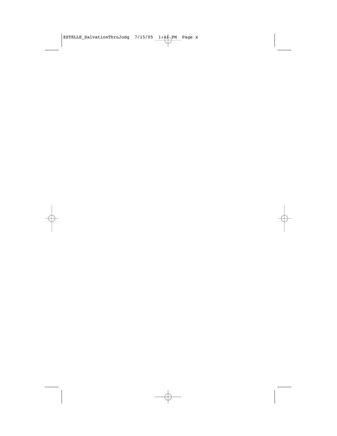ESTELLE\_SalvationThruJudg 7/15/05  $1:4$  PM Page x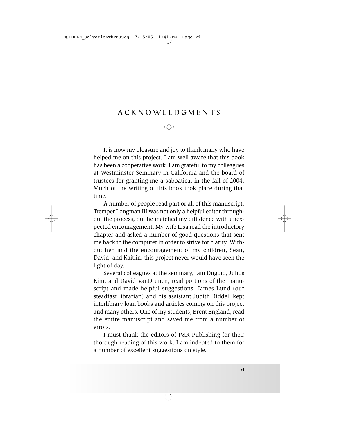## **ACKNOWLEDGMENTS**

A

It is now my pleasure and joy to thank many who have helped me on this project. I am well aware that this book has been a cooperative work. I am grateful to my colleagues at Westminster Seminary in California and the board of trustees for granting me a sabbatical in the fall of 2004. Much of the writing of this book took place during that time.

A number of people read part or all of this manuscript. Tremper Longman III was not only a helpful editor throughout the process, but he matched my diffidence with unexpected encouragement. My wife Lisa read the introductory chapter and asked a number of good questions that sent me back to the computer in order to strive for clarity. Without her, and the encouragement of my children, Sean, David, and Kaitlin, this project never would have seen the light of day.

Several colleagues at the seminary, Iain Duguid, Julius Kim, and David VanDrunen, read portions of the manuscript and made helpful suggestions. James Lund (our steadfast librarian) and his assistant Judith Riddell kept interlibrary loan books and articles coming on this project and many others. One of my students, Brent England, read the entire manuscript and saved me from a number of errors.

I must thank the editors of P&R Publishing for their thorough reading of this work. I am indebted to them for a number of excellent suggestions on style.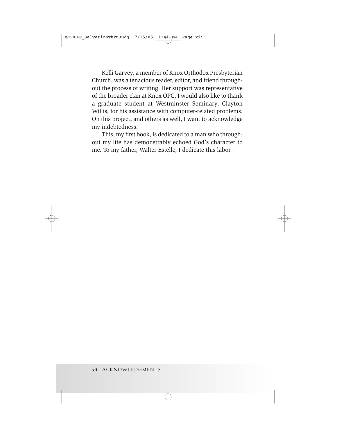Kelli Garvey, a member of Knox Orthodox Presbyterian Church, was a tenacious reader, editor, and friend throughout the process of writing. Her support was representative of the broader clan at Knox OPC. I would also like to thank a graduate student at Westminster Seminary, Clayton Willis, for his assistance with computer-related problems. On this project, and others as well, I want to acknowledge my indebtedness.

This, my first book, is dedicated to a man who throughout my life has demonstrably echoed God's character to me. To my father, Walter Estelle, I dedicate this labor.

#### **xii** ACKNOWLEDGMENTS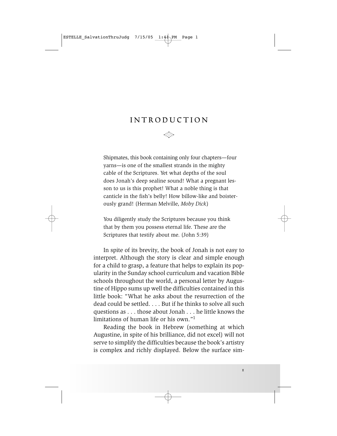## **INTRODUCTION**

# A

Shipmates, this book containing only four chapters—four yarns—is one of the smallest strands in the mighty cable of the Scriptures. Yet what depths of the soul does Jonah's deep sealine sound! What a pregnant lesson to us is this prophet! What a noble thing is that canticle in the fish's belly! How billow-like and boisterously grand! (Herman Melville, *Moby Dick*)

You diligently study the Scriptures because you think that by them you possess eternal life. These are the Scriptures that testify about me. (John 5:39)

In spite of its brevity, the book of Jonah is not easy to interpret. Although the story is clear and simple enough for a child to grasp, a feature that helps to explain its popularity in the Sunday school curriculum and vacation Bible schools throughout the world, a personal letter by Augustine of Hippo sums up well the difficulties contained in this little book: "What he asks about the resurrection of the dead could be settled. . . . But if he thinks to solve all such questions as . . . those about Jonah . . . he little knows the limitations of human life or his own."<sup>1</sup>

Reading the book in Hebrew (something at which Augustine, in spite of his brilliance, did not excel) will not serve to simplify the difficulties because the book's artistry is complex and richly displayed. Below the surface sim-

**1**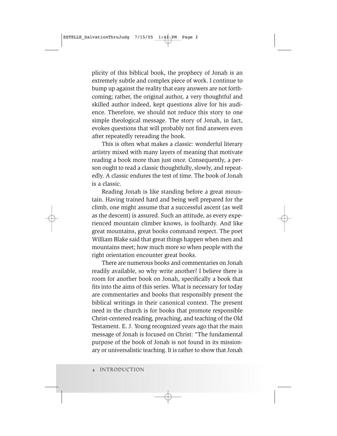plicity of this biblical book, the prophecy of Jonah is an extremely subtle and complex piece of work. I continue to bump up against the reality that easy answers are not forthcoming; rather, the original author, a very thoughtful and skilled author indeed, kept questions alive for his audience. Therefore, we should not reduce this story to one simple theological message. The story of Jonah, in fact, evokes questions that will probably not find answers even after repeatedly rereading the book.

This is often what makes a classic: wonderful literary artistry mixed with many layers of meaning that motivate reading a book more than just once. Consequently, a person ought to read a classic thoughtfully, slowly, and repeatedly. A classic endures the test of time. The book of Jonah is a classic.

Reading Jonah is like standing before a great mountain. Having trained hard and being well prepared for the climb, one might assume that a successful ascent (as well as the descent) is assured. Such an attitude, as every experienced mountain climber knows, is foolhardy. And like great mountains, great books command respect. The poet William Blake said that great things happen when men and mountains meet; how much more so when people with the right orientation encounter great books.

There are numerous books and commentaries on Jonah readily available, so why write another? I believe there is room for another book on Jonah, specifically a book that fits into the aims of this series. What is necessary for today are commentaries and books that responsibly present the biblical writings in their canonical context. The present need in the church is for books that promote responsible Christ-centered reading, preaching, and teaching of the Old Testament. E. J. Young recognized years ago that the main message of Jonah is focused on Christ: "The fundamental purpose of the book of Jonah is not found in its missionary or universalistic teaching. It is rather to show that Jonah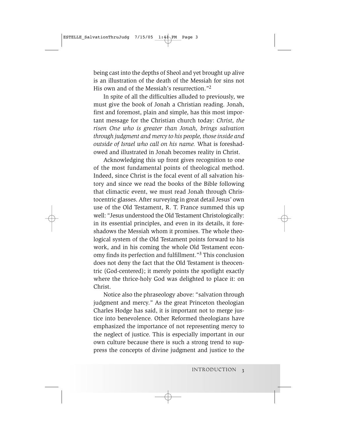being cast into the depths of Sheol and yet brought up alive is an illustration of the death of the Messiah for sins not His own and of the Messiah's resurrection."2

In spite of all the difficulties alluded to previously, we must give the book of Jonah a Christian reading. Jonah, first and foremost, plain and simple, has this most important message for the Christian church today: *Christ, the risen One who is greater than Jonah, brings salvation through judgment and mercy to his people, those inside and outside of Israel who call on his name.* What is foreshadowed and illustrated in Jonah becomes reality in Christ.

Acknowledging this up front gives recognition to one of the most fundamental points of theological method. Indeed, since Christ is the focal event of all salvation history and since we read the books of the Bible following that climactic event, we must read Jonah through Christocentric glasses. After surveying in great detail Jesus' own use of the Old Testament, R. T. France summed this up well: "Jesus understood the Old Testament Christologically: in its essential principles, and even in its details, it foreshadows the Messiah whom it promises. The whole theological system of the Old Testament points forward to his work, and in his coming the whole Old Testament economy finds its perfection and fulfillment."<sup>3</sup> This conclusion does not deny the fact that the Old Testament is theocentric (God-centered); it merely points the spotlight exactly where the thrice-holy God was delighted to place it: on Christ.

Notice also the phraseology above: "salvation through judgment and mercy." As the great Princeton theologian Charles Hodge has said, it is important not to merge justice into benevolence. Other Reformed theologians have emphasized the importance of not representing mercy to the neglect of justice. This is especially important in our own culture because there is such a strong trend to suppress the concepts of divine judgment and justice to the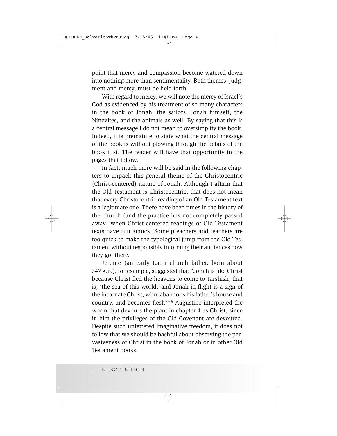point that mercy and compassion become watered down into nothing more than sentimentality. Both themes, judgment and mercy, must be held forth.

With regard to mercy, we will note the mercy of Israel's God as evidenced by his treatment of so many characters in the book of Jonah: the sailors, Jonah himself, the Ninevites, and the animals as well! By saying that this is a central message I do not mean to oversimplify the book. Indeed, it is premature to state what the central message of the book is without plowing through the details of the book first. The reader will have that opportunity in the pages that follow.

In fact, much more will be said in the following chapters to unpack this general theme of the Christocentric (Christ-centered) nature of Jonah. Although I affirm that the Old Testament is Christocentric, that does not mean that every Christocentric reading of an Old Testament text is a legitimate one. There have been times in the history of the church (and the practice has not completely passed away) when Christ-centered readings of Old Testament texts have run amuck. Some preachers and teachers are too quick to make the typological jump from the Old Testament without responsibly informing their audiences how they got there.

Jerome (an early Latin church father, born about 347 A.D.), for example, suggested that "Jonah is like Christ because Christ fled the heavens to come to Tarshish, that is, 'the sea of this world,' and Jonah in flight is a sign of the incarnate Christ, who 'abandons his father's house and country, and becomes flesh.'"4 Augustine interpreted the worm that devours the plant in chapter 4 as Christ, since in him the privileges of the Old Covenant are devoured. Despite such unfettered imaginative freedom, it does not follow that we should be bashful about observing the pervasiveness of Christ in the book of Jonah or in other Old Testament books.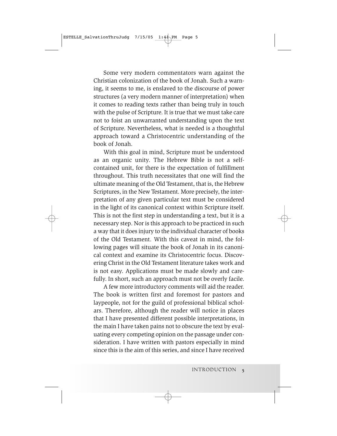Some very modern commentators warn against the Christian colonization of the book of Jonah. Such a warning, it seems to me, is enslaved to the discourse of power structures (a very modern manner of interpretation) when it comes to reading texts rather than being truly in touch with the pulse of Scripture. It is true that we must take care not to foist an unwarranted understanding upon the text of Scripture. Nevertheless, what is needed is a thoughtful approach toward a Christocentric understanding of the book of Jonah.

With this goal in mind, Scripture must be understood as an organic unity. The Hebrew Bible is not a selfcontained unit, for there is the expectation of fulfillment throughout. This truth necessitates that one will find the ultimate meaning of the Old Testament, that is, the Hebrew Scriptures, in the New Testament. More precisely, the interpretation of any given particular text must be considered in the light of its canonical context within Scripture itself. This is not the first step in understanding a text, but it is a necessary step. Nor is this approach to be practiced in such a way that it does injury to the individual character of books of the Old Testament. With this caveat in mind, the following pages will situate the book of Jonah in its canonical context and examine its Christocentric focus. Discovering Christ in the Old Testament literature takes work and is not easy. Applications must be made slowly and carefully. In short, such an approach must not be overly facile.

A few more introductory comments will aid the reader. The book is written first and foremost for pastors and laypeople, not for the guild of professional biblical scholars. Therefore, although the reader will notice in places that I have presented different possible interpretations, in the main I have taken pains not to obscure the text by evaluating every competing opinion on the passage under consideration. I have written with pastors especially in mind since this is the aim of this series, and since I have received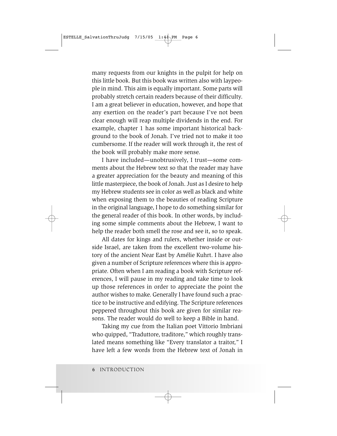many requests from our knights in the pulpit for help on this little book. But this book was written also with laypeople in mind. This aim is equally important. Some parts will probably stretch certain readers because of their difficulty. I am a great believer in education, however, and hope that any exertion on the reader's part because I've not been clear enough will reap multiple dividends in the end. For example, chapter 1 has some important historical background to the book of Jonah. I've tried not to make it too cumbersome. If the reader will work through it, the rest of the book will probably make more sense.

I have included—unobtrusively, I trust—some comments about the Hebrew text so that the reader may have a greater appreciation for the beauty and meaning of this little masterpiece, the book of Jonah. Just as I desire to help my Hebrew students see in color as well as black and white when exposing them to the beauties of reading Scripture in the original language, I hope to do something similar for the general reader of this book. In other words, by including some simple comments about the Hebrew, I want to help the reader both smell the rose and see it, so to speak.

All dates for kings and rulers, whether inside or outside Israel, are taken from the excellent two-volume history of the ancient Near East by Amélie Kuhrt. I have also given a number of Scripture references where this is appropriate. Often when I am reading a book with Scripture references, I will pause in my reading and take time to look up those references in order to appreciate the point the author wishes to make. Generally I have found such a practice to be instructive and edifying. The Scripture references peppered throughout this book are given for similar reasons. The reader would do well to keep a Bible in hand.

Taking my cue from the Italian poet Vittorio Imbriani who quipped, "Traduttore, traditore," which roughly translated means something like "Every translator a traitor," I have left a few words from the Hebrew text of Jonah in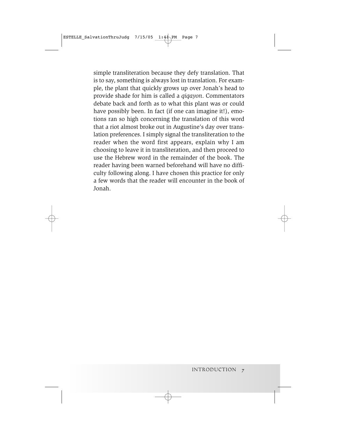simple transliteration because they defy translation. That is to say, something is always lost in translation. For example, the plant that quickly grows up over Jonah's head to provide shade for him is called a *qiqayon*. Commentators debate back and forth as to what this plant was or could have possibly been. In fact (if one can imagine it!), emotions ran so high concerning the translation of this word that a riot almost broke out in Augustine's day over translation preferences. I simply signal the transliteration to the reader when the word first appears, explain why I am choosing to leave it in transliteration, and then proceed to use the Hebrew word in the remainder of the book. The reader having been warned beforehand will have no difficulty following along. I have chosen this practice for only a few words that the reader will encounter in the book of Jonah.

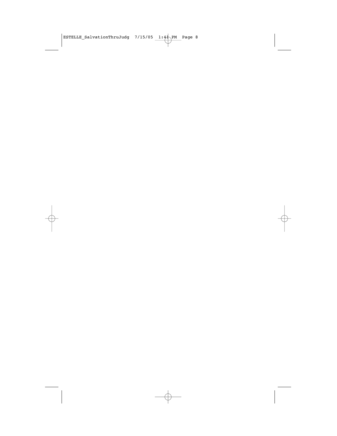ESTELLE\_SalvationThruJudg  $7/15/05$  1:41 PM Page 8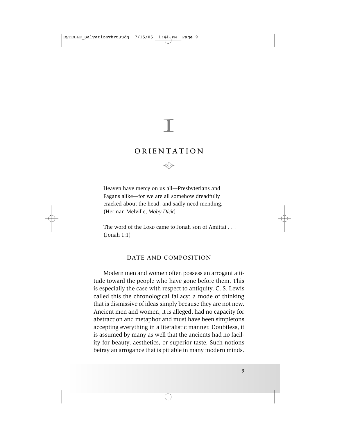ESTELLE\_SalvationThruJudg 7/15/05 1:44 PM Page 9

# 1

## **ORIENTATION**

A

Heaven have mercy on us all—Presbyterians and Pagans alike—for we are all somehow dreadfully cracked about the head, and sadly need mending. (Herman Melville, *Moby Dick*)

The word of the LORD came to Jonah son of Amittai . . . (Jonah 1:1)

## **DATE AND COMPOSITION**

Modern men and women often possess an arrogant attitude toward the people who have gone before them. This is especially the case with respect to antiquity. C. S. Lewis called this the chronological fallacy: a mode of thinking that is dismissive of ideas simply because they are not new. Ancient men and women, it is alleged, had no capacity for abstraction and metaphor and must have been simpletons accepting everything in a literalistic manner. Doubtless, it is assumed by many as well that the ancients had no facility for beauty, aesthetics, or superior taste. Such notions betray an arrogance that is pitiable in many modern minds.

**9**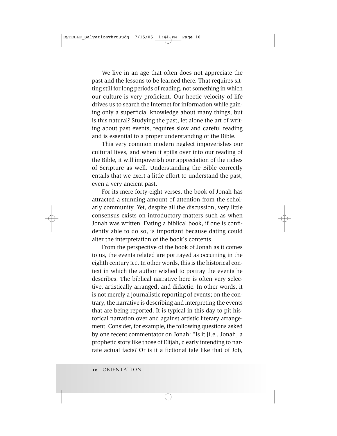We live in an age that often does not appreciate the past and the lessons to be learned there. That requires sitting still for long periods of reading, not something in which our culture is very proficient. Our hectic velocity of life drives us to search the Internet for information while gaining only a superficial knowledge about many things, but is this natural? Studying the past, let alone the art of writing about past events, requires slow and careful reading and is essential to a proper understanding of the Bible.

This very common modern neglect impoverishes our cultural lives, and when it spills over into our reading of the Bible, it will impoverish our appreciation of the riches of Scripture as well. Understanding the Bible correctly entails that we exert a little effort to understand the past, even a very ancient past.

For its mere forty-eight verses, the book of Jonah has attracted a stunning amount of attention from the scholarly community. Yet, despite all the discussion, very little consensus exists on introductory matters such as when Jonah was written. Dating a biblical book, if one is confidently able to do so, is important because dating could alter the interpretation of the book's contents.

From the perspective of the book of Jonah as it comes to us, the events related are portrayed as occurring in the eighth century B.C. In other words, this is the historical context in which the author wished to portray the events he describes. The biblical narrative here is often very selective, artistically arranged, and didactic. In other words, it is not merely a journalistic reporting of events; on the contrary, the narrative is describing and interpreting the events that are being reported. It is typical in this day to pit historical narration over and against artistic literary arrangement. Consider, for example, the following questions asked by one recent commentator on Jonah: "Is it [i.e., Jonah] a prophetic story like those of Elijah, clearly intending to narrate actual facts? Or is it a fictional tale like that of Job,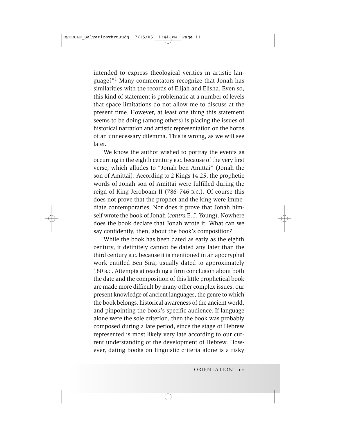intended to express theological verities in artistic language?"<sup>1</sup> Many commentators recognize that Jonah has similarities with the records of Elijah and Elisha. Even so, this kind of statement is problematic at a number of levels that space limitations do not allow me to discuss at the present time. However, at least one thing this statement seems to be doing (among others) is placing the issues of historical narration and artistic representation on the horns of an unnecessary dilemma. This is wrong, as we will see later.

We know the author wished to portray the events as occurring in the eighth century B.C. because of the very first verse, which alludes to "Jonah ben Amittai" (Jonah the son of Amittai). According to 2 Kings 14:25, the prophetic words of Jonah son of Amittai were fulfilled during the reign of King Jeroboam II (786–746 B.C.). Of course this does not prove that the prophet and the king were immediate contemporaries. Nor does it prove that Jonah himself wrote the book of Jonah (*contra* E. J. Young). Nowhere does the book declare that Jonah wrote it. What can we say confidently, then, about the book's composition?

While the book has been dated as early as the eighth century, it definitely cannot be dated any later than the third century B.C. because it is mentioned in an apocryphal work entitled Ben Sira, usually dated to approximately 180 B.C. Attempts at reaching a firm conclusion about both the date and the composition of this little prophetical book are made more difficult by many other complex issues: our present knowledge of ancient languages, the genre to which the book belongs, historical awareness of the ancient world, and pinpointing the book's specific audience. If language alone were the sole criterion, then the book was probably composed during a late period, since the stage of Hebrew represented is most likely very late according to our current understanding of the development of Hebrew. However, dating books on linguistic criteria alone is a risky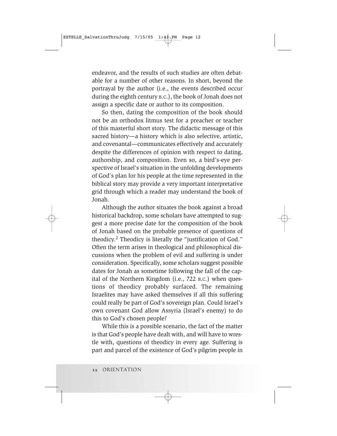endeavor, and the results of such studies are often debatable for a number of other reasons. In short, beyond the portrayal by the author (i.e., the events described occur during the eighth century B.C.), the book of Jonah does not assign a specific date or author to its composition.

So then, dating the composition of the book should not be an orthodox litmus test for a preacher or teacher of this masterful short story. The didactic message of this sacred history—a history which is also selective, artistic, and covenantal—communicates effectively and accurately despite the differences of opinion with respect to dating, authorship, and composition. Even so, a bird's-eye perspective of Israel's situation in the unfolding developments of God's plan for his people at the time represented in the biblical story may provide a very important interpretative grid through which a reader may understand the book of Jonah.

Although the author situates the book against a broad historical backdrop, some scholars have attempted to suggest a more precise date for the composition of the book of Jonah based on the probable presence of questions of theodicy.2 Theodicy is literally the "justification of God." Often the term arises in theological and philosophical discussions when the problem of evil and suffering is under consideration. Specifically, some scholars suggest possible dates for Jonah as sometime following the fall of the capital of the Northern Kingdom (i.e., 722 B.C.) when questions of theodicy probably surfaced. The remaining Israelites may have asked themselves if all this suffering could really be part of God's sovereign plan. Could Israel's own covenant God allow Assyria (Israel's enemy) to do this to God's chosen people?

While this is a possible scenario, the fact of the matter is that God's people have dealt with, and will have to wrestle with, questions of theodicy in every age. Suffering is part and parcel of the existence of God's pilgrim people in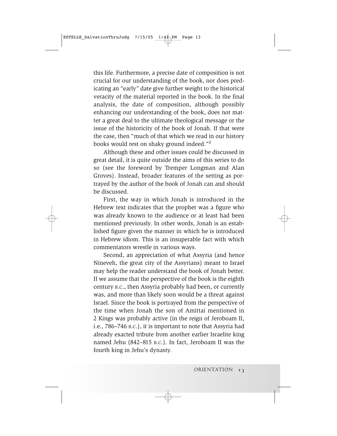this life. Furthermore, a precise date of composition is not crucial for our understanding of the book, nor does predicating an "early" date give further weight to the historical veracity of the material reported in the book. In the final analysis, the date of composition, although possibly enhancing our understanding of the book, does not matter a great deal to the ultimate theological message or the issue of the historicity of the book of Jonah. If that were the case, then "much of that which we read in our history books would rest on shaky ground indeed."3

Although these and other issues could be discussed in great detail, it is quite outside the aims of this series to do so (see the foreword by Tremper Longman and Alan Groves). Instead, broader features of the setting as portrayed by the author of the book of Jonah can and should be discussed.

First, the way in which Jonah is introduced in the Hebrew text indicates that the prophet was a figure who was already known to the audience or at least had been mentioned previously. In other words, Jonah is an established figure given the manner in which he is introduced in Hebrew idiom. This is an insuperable fact with which commentators wrestle in various ways.

Second, an appreciation of what Assyria (and hence Nineveh, the great city of the Assyrians) meant to Israel may help the reader understand the book of Jonah better. If we assume that the perspective of the book is the eighth century B.C., then Assyria probably had been, or currently was, and more than likely soon would be a threat against Israel. Since the book is portrayed from the perspective of the time when Jonah the son of Amittai mentioned in 2 Kings was probably active (in the reign of Jeroboam II, i.e., 786–746 B.C.), it is important to note that Assyria had already exacted tribute from another earlier Israelite king named Jehu (842–815 B.C.). In fact, Jeroboam II was the fourth king in Jehu's dynasty.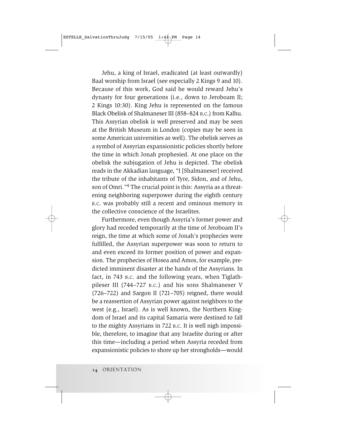Jehu, a king of Israel, eradicated (at least outwardly) Baal worship from Israel (see especially 2 Kings 9 and 10). Because of this work, God said he would reward Jehu's dynasty for four generations (i.e., down to Jeroboam II; 2 Kings 10:30). King Jehu is represented on the famous Black Obelisk of Shalmaneser III (858–824 B.C.) from Kalhu. This Assyrian obelisk is well preserved and may be seen at the British Museum in London (copies may be seen in some American universities as well). The obelisk serves as a symbol of Assyrian expansionistic policies shortly before the time in which Jonah prophesied. At one place on the obelisk the subjugation of Jehu is depicted. The obelisk reads in the Akkadian language, "I [Shalmaneser] received the tribute of the inhabitants of Tyre, Sidon, and of Jehu, son of Omri."4 The crucial point is this: Assyria as a threatening neighboring superpower during the eighth century B.C. was probably still a recent and ominous memory in the collective conscience of the Israelites.

Furthermore, even though Assyria's former power and glory had receded temporarily at the time of Jeroboam II's reign, the time at which some of Jonah's prophecies were fulfilled, the Assyrian superpower was soon to return to and even exceed its former position of power and expansion. The prophecies of Hosea and Amos, for example, predicted imminent disaster at the hands of the Assyrians. In fact, in 743 B.C. and the following years, when Tiglathpileser III (744–727 B.C.) and his sons Shalmaneser V (726–722) and Sargon II (721–705) reigned, there would be a reassertion of Assyrian power against neighbors to the west (e.g., Israel). As is well known, the Northern Kingdom of Israel and its capital Samaria were destined to fall to the mighty Assyrians in 722 B.C. It is well nigh impossible, therefore, to imagine that any Israelite during or after this time—including a period when Assyria receded from expansionistic policies to shore up her strongholds—would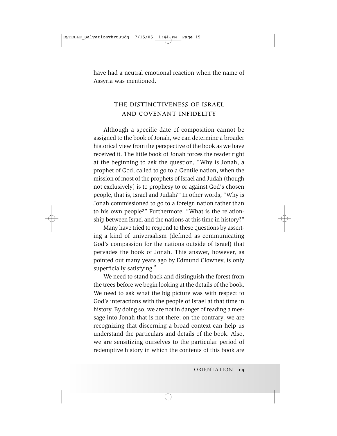ESTELLE\_SalvationThruJudg 7/15/05 1:44 PM Page 15

have had a neutral emotional reaction when the name of Assyria was mentioned.

## **THE DISTINCTIVENESS OF ISRAEL AND COVENANT INFIDELITY**

Although a specific date of composition cannot be assigned to the book of Jonah, we can determine a broader historical view from the perspective of the book as we have received it. The little book of Jonah forces the reader right at the beginning to ask the question, "Why is Jonah, a prophet of God, called to go to a Gentile nation, when the mission of most of the prophets of Israel and Judah (though not exclusively) is to prophesy to or against God's chosen people, that is, Israel and Judah?" In other words, "Why is Jonah commissioned to go to a foreign nation rather than to his own people?" Furthermore, "What is the relationship between Israel and the nations at this time in history?"

Many have tried to respond to these questions by asserting a kind of universalism (defined as communicating God's compassion for the nations outside of Israel) that pervades the book of Jonah. This answer, however, as pointed out many years ago by Edmund Clowney, is only superficially satisfying.<sup>5</sup>

We need to stand back and distinguish the forest from the trees before we begin looking at the details of the book. We need to ask what the big picture was with respect to God's interactions with the people of Israel at that time in history. By doing so, we are not in danger of reading a message into Jonah that is not there; on the contrary, we are recognizing that discerning a broad context can help us understand the particulars and details of the book. Also, we are sensitizing ourselves to the particular period of redemptive history in which the contents of this book are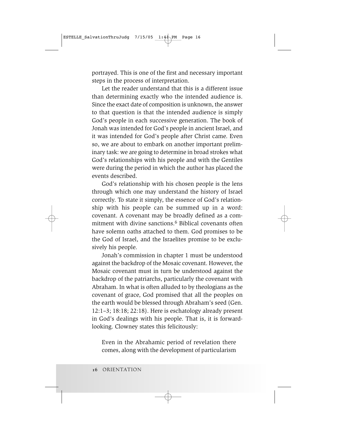portrayed. This is one of the first and necessary important steps in the process of interpretation.

Let the reader understand that this is a different issue than determining exactly who the intended audience is. Since the exact date of composition is unknown, the answer to that question is that the intended audience is simply God's people in each successive generation. The book of Jonah was intended for God's people in ancient Israel, and it was intended for God's people after Christ came. Even so, we are about to embark on another important preliminary task: we are going to determine in broad strokes what God's relationships with his people and with the Gentiles were during the period in which the author has placed the events described.

God's relationship with his chosen people is the lens through which one may understand the history of Israel correctly. To state it simply, the essence of God's relationship with his people can be summed up in a word: covenant. A covenant may be broadly defined as a commitment with divine sanctions.<sup>6</sup> Biblical covenants often have solemn oaths attached to them. God promises to be the God of Israel, and the Israelites promise to be exclusively his people.

Jonah's commission in chapter 1 must be understood against the backdrop of the Mosaic covenant. However, the Mosaic covenant must in turn be understood against the backdrop of the patriarchs, particularly the covenant with Abraham. In what is often alluded to by theologians as the covenant of grace, God promised that all the peoples on the earth would be blessed through Abraham's seed (Gen. 12:1–3; 18:18; 22:18). Here is eschatology already present in God's dealings with his people. That is, it is forwardlooking. Clowney states this felicitously:

Even in the Abrahamic period of revelation there comes, along with the development of particularism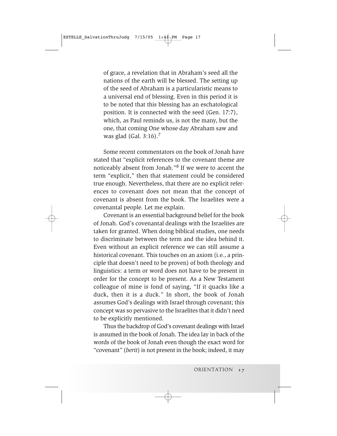of grace, a revelation that in Abraham's seed all the nations of the earth will be blessed. The setting up of the seed of Abraham is a particularistic means to a universal end of blessing. Even in this period it is to be noted that this blessing has an eschatological position. It is connected with the seed (Gen. 17:7), which, as Paul reminds us, is not the many, but the one, that coming One whose day Abraham saw and was glad (Gal. 3:16).<sup>7</sup>

Some recent commentators on the book of Jonah have stated that "explicit references to the covenant theme are noticeably absent from Jonah."8 If we were to accent the term "explicit," then that statement could be considered true enough. Nevertheless, that there are no explicit references to covenant does not mean that the concept of covenant is absent from the book. The Israelites were a covenantal people. Let me explain.

Covenant is an essential background belief for the book of Jonah. God's covenantal dealings with the Israelites are taken for granted. When doing biblical studies, one needs to discriminate between the term and the idea behind it. Even without an explicit reference we can still assume a historical covenant. This touches on an axiom (i.e., a principle that doesn't need to be proven) of both theology and linguistics: a term or word does not have to be present in order for the concept to be present. As a New Testament colleague of mine is fond of saying, "If it quacks like a duck, then it is a duck." In short, the book of Jonah assumes God's dealings with Israel through covenant; this concept was so pervasive to the Israelites that it didn't need to be explicitly mentioned.

Thus the backdrop of God's covenant dealings with Israel is assumed in the book of Jonah. The idea lay in back of the words of the book of Jonah even though the exact word for "covenant" (*berit*) is not present in the book; indeed, it may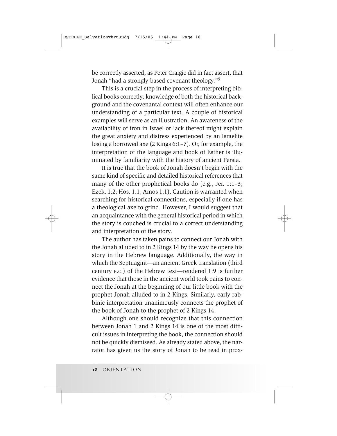be correctly asserted, as Peter Craigie did in fact assert, that Jonah "had a strongly-based covenant theology."9

This is a crucial step in the process of interpreting biblical books correctly: knowledge of both the historical background and the covenantal context will often enhance our understanding of a particular text. A couple of historical examples will serve as an illustration. An awareness of the availability of iron in Israel or lack thereof might explain the great anxiety and distress experienced by an Israelite losing a borrowed axe (2 Kings 6:1–7). Or, for example, the interpretation of the language and book of Esther is illuminated by familiarity with the history of ancient Persia.

It is true that the book of Jonah doesn't begin with the same kind of specific and detailed historical references that many of the other prophetical books do (e.g., Jer. 1:1–3; Ezek. 1:2; Hos. 1:1; Amos 1:1). Caution is warranted when searching for historical connections, especially if one has a theological axe to grind. However, I would suggest that an acquaintance with the general historical period in which the story is couched is crucial to a correct understanding and interpretation of the story.

The author has taken pains to connect our Jonah with the Jonah alluded to in 2 Kings 14 by the way he opens his story in the Hebrew language. Additionally, the way in which the Septuagint—an ancient Greek translation (third century B.C.) of the Hebrew text—rendered 1:9 is further evidence that those in the ancient world took pains to connect the Jonah at the beginning of our little book with the prophet Jonah alluded to in 2 Kings. Similarly, early rabbinic interpretation unanimously connects the prophet of the book of Jonah to the prophet of 2 Kings 14.

Although one should recognize that this connection between Jonah 1 and 2 Kings 14 is one of the most difficult issues in interpreting the book, the connection should not be quickly dismissed. As already stated above, the narrator has given us the story of Jonah to be read in prox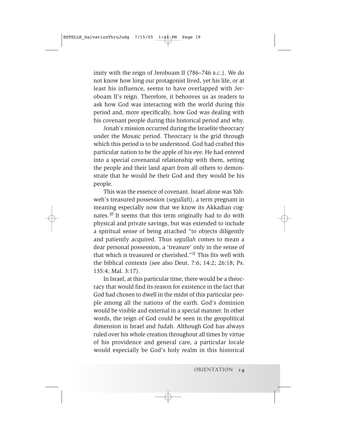imity with the reign of Jeroboam II (786–746 B.C.). We do not know how long our protagonist lived, yet his life, or at least his influence, seems to have overlapped with Jeroboam II's reign. Therefore, it behooves us as readers to ask how God was interacting with the world during this period and, more specifically, how God was dealing with his covenant people during this historical period and why.

Jonah's mission occurred during the Israelite theocracy under the Mosaic period. Theocracy is the grid through which this period is to be understood. God had crafted this particular nation to be the apple of his eye. He had entered into a special covenantal relationship with them, setting the people and their land apart from all others to demonstrate that he would be their God and they would be his people.

This was the essence of covenant. Israel alone was Yahweh's treasured possession (*segullah*), a term pregnant in meaning especially now that we know its Akkadian cognates.10 It seems that this term originally had to do with physical and private savings, but was extended to include a spiritual sense of being attached "to objects diligently and patiently acquired. Thus *segullah* comes to mean a dear personal possession, a 'treasure' only in the sense of that which is treasured or cherished."<sup>11</sup> This fits well with the biblical contexts (see also Deut. 7:6; 14:2; 26:18; Ps. 135:4; Mal. 3:17).

In Israel, at this particular time, there would be a theocracy that would find its reason for existence in the fact that God had chosen to dwell in the midst of this particular people among all the nations of the earth. God's dominion would be visible and external in a special manner. In other words, the reign of God could be seen in the geopolitical dimension in Israel and Judah. Although God has always ruled over his whole creation throughout all times by virtue of his providence and general care, a particular locale would especially be God's holy realm in this historical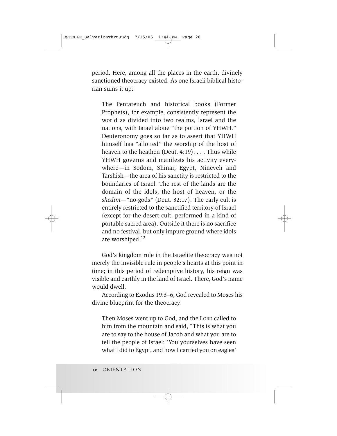period. Here, among all the places in the earth, divinely sanctioned theocracy existed. As one Israeli biblical historian sums it up:

The Pentateuch and historical books (Former Prophets), for example, consistently represent the world as divided into two realms, Israel and the nations, with Israel alone "the portion of YHWH." Deuteronomy goes so far as to assert that YHWH himself has "allotted" the worship of the host of heaven to the heathen (Deut. 4:19). . . . Thus while YHWH governs and manifests his activity everywhere—in Sodom, Shinar, Egypt, Nineveh and Tarshish—the area of his sanctity is restricted to the boundaries of Israel. The rest of the lands are the domain of the idols, the host of heaven, or the *shedim*—"no-gods" (Deut. 32:17). The early cult is entirely restricted to the sanctified territory of Israel (except for the desert cult, performed in a kind of portable sacred area). Outside it there is no sacrifice and no festival, but only impure ground where idols are worshiped.<sup>12</sup>

God's kingdom rule in the Israelite theocracy was not merely the invisible rule in people's hearts at this point in time; in this period of redemptive history, his reign was visible and earthly in the land of Israel. There, God's name would dwell.

According to Exodus 19:3–6, God revealed to Moses his divine blueprint for the theocracy:

Then Moses went up to God, and the LORD called to him from the mountain and said, "This is what you are to say to the house of Jacob and what you are to tell the people of Israel: 'You yourselves have seen what I did to Egypt, and how I carried you on eagles'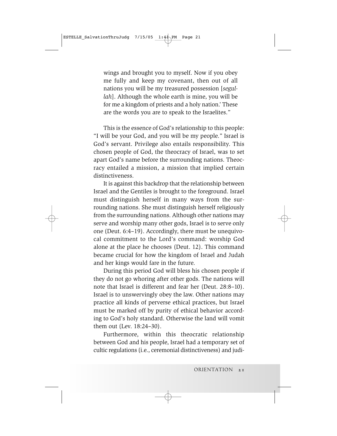wings and brought you to myself. Now if you obey me fully and keep my covenant, then out of all nations you will be my treasured possession [*segullah*]. Although the whole earth is mine, you will be for me a kingdom of priests and a holy nation.' These are the words you are to speak to the Israelites."

This is the essence of God's relationship to this people: "I will be your God, and you will be my people." Israel is God's servant. Privilege also entails responsibility. This chosen people of God, the theocracy of Israel, was to set apart God's name before the surrounding nations. Theocracy entailed a mission, a mission that implied certain distinctiveness.

It is against this backdrop that the relationship between Israel and the Gentiles is brought to the foreground. Israel must distinguish herself in many ways from the surrounding nations. She must distinguish herself religiously from the surrounding nations. Although other nations may serve and worship many other gods, Israel is to serve only one (Deut. 6:4–19). Accordingly, there must be unequivocal commitment to the Lord's command: worship God alone at the place he chooses (Deut. 12). This command became crucial for how the kingdom of Israel and Judah and her kings would fare in the future.

During this period God will bless his chosen people if they do not go whoring after other gods. The nations will note that Israel is different and fear her (Deut. 28:8–10). Israel is to unswervingly obey the law. Other nations may practice all kinds of perverse ethical practices, but Israel must be marked off by purity of ethical behavior according to God's holy standard. Otherwise the land will vomit them out (Lev. 18:24–30).

Furthermore, within this theocratic relationship between God and his people, Israel had a temporary set of cultic regulations (i.e., ceremonial distinctiveness) and judi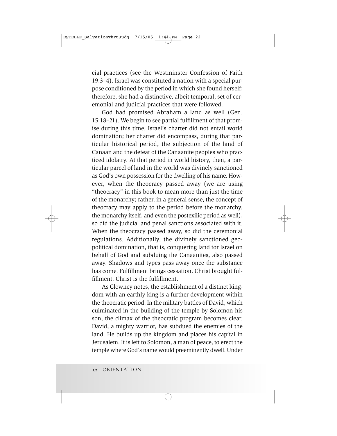cial practices (see the Westminster Confession of Faith 19.3–4). Israel was constituted a nation with a special purpose conditioned by the period in which she found herself; therefore, she had a distinctive, albeit temporal, set of ceremonial and judicial practices that were followed.

God had promised Abraham a land as well (Gen. 15:18–21). We begin to see partial fulfillment of that promise during this time. Israel's charter did not entail world domination; her charter did encompass, during that particular historical period, the subjection of the land of Canaan and the defeat of the Canaanite peoples who practiced idolatry. At that period in world history, then, a particular parcel of land in the world was divinely sanctioned as God's own possession for the dwelling of his name. However, when the theocracy passed away (we are using "theocracy" in this book to mean more than just the time of the monarchy; rather, in a general sense, the concept of theocracy may apply to the period before the monarchy, the monarchy itself, and even the postexilic period as well), so did the judicial and penal sanctions associated with it. When the theocracy passed away, so did the ceremonial regulations. Additionally, the divinely sanctioned geopolitical domination, that is, conquering land for Israel on behalf of God and subduing the Canaanites, also passed away. Shadows and types pass away once the substance has come. Fulfillment brings cessation. Christ brought fulfillment. Christ is the fulfillment.

As Clowney notes, the establishment of a distinct kingdom with an earthly king is a further development within the theocratic period. In the military battles of David, which culminated in the building of the temple by Solomon his son, the climax of the theocratic program becomes clear. David, a mighty warrior, has subdued the enemies of the land. He builds up the kingdom and places his capital in Jerusalem. It is left to Solomon, a man of peace, to erect the temple where God's name would preeminently dwell. Under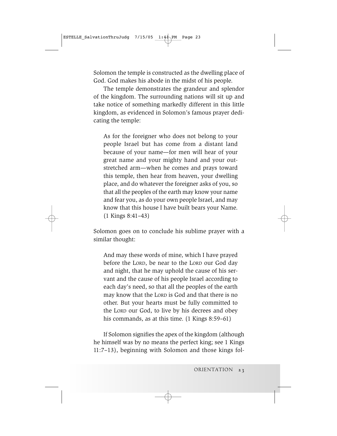Solomon the temple is constructed as the dwelling place of God. God makes his abode in the midst of his people.

The temple demonstrates the grandeur and splendor of the kingdom. The surrounding nations will sit up and take notice of something markedly different in this little kingdom, as evidenced in Solomon's famous prayer dedicating the temple:

As for the foreigner who does not belong to your people Israel but has come from a distant land because of your name—for men will hear of your great name and your mighty hand and your outstretched arm—when he comes and prays toward this temple, then hear from heaven, your dwelling place, and do whatever the foreigner asks of you, so that all the peoples of the earth may know your name and fear you, as do your own people Israel, and may know that this house I have built bears your Name. (1 Kings 8:41–43)

Solomon goes on to conclude his sublime prayer with a similar thought:

And may these words of mine, which I have prayed before the LORD, be near to the LORD our God day and night, that he may uphold the cause of his servant and the cause of his people Israel according to each day's need, so that all the peoples of the earth may know that the LORD is God and that there is no other. But your hearts must be fully committed to the LORD our God, to live by his decrees and obey his commands, as at this time. (1 Kings 8:59–61)

If Solomon signifies the apex of the kingdom (although he himself was by no means the perfect king; see 1 Kings 11:7–13), beginning with Solomon and those kings fol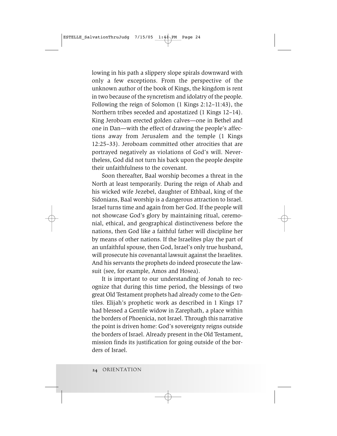lowing in his path a slippery slope spirals downward with only a few exceptions. From the perspective of the unknown author of the book of Kings, the kingdom is rent in two because of the syncretism and idolatry of the people. Following the reign of Solomon (1 Kings 2:12–11:43), the Northern tribes seceded and apostatized (1 Kings 12–14). King Jeroboam erected golden calves—one in Bethel and one in Dan—with the effect of drawing the people's affections away from Jerusalem and the temple (1 Kings 12:25–33). Jeroboam committed other atrocities that are portrayed negatively as violations of God's will. Nevertheless, God did not turn his back upon the people despite their unfaithfulness to the covenant.

Soon thereafter, Baal worship becomes a threat in the North at least temporarily. During the reign of Ahab and his wicked wife Jezebel, daughter of Ethbaal, king of the Sidonians, Baal worship is a dangerous attraction to Israel. Israel turns time and again from her God. If the people will not showcase God's glory by maintaining ritual, ceremonial, ethical, and geographical distinctiveness before the nations, then God like a faithful father will discipline her by means of other nations. If the Israelites play the part of an unfaithful spouse, then God, Israel's only true husband, will prosecute his covenantal lawsuit against the Israelites. And his servants the prophets do indeed prosecute the lawsuit (see, for example, Amos and Hosea).

It is important to our understanding of Jonah to recognize that during this time period, the blessings of two great Old Testament prophets had already come to the Gentiles. Elijah's prophetic work as described in 1 Kings 17 had blessed a Gentile widow in Zarephath, a place within the borders of Phoenicia, not Israel. Through this narrative the point is driven home: God's sovereignty reigns outside the borders of Israel. Already present in the Old Testament, mission finds its justification for going outside of the borders of Israel.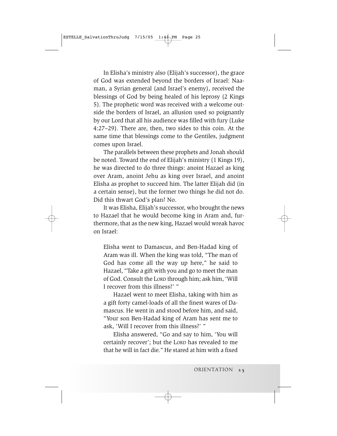In Elisha's ministry also (Elijah's successor), the grace of God was extended beyond the borders of Israel: Naaman, a Syrian general (and Israel's enemy), received the blessings of God by being healed of his leprosy (2 Kings 5). The prophetic word was received with a welcome outside the borders of Israel, an allusion used so poignantly by our Lord that all his audience was filled with fury (Luke 4:27–29). There are, then, two sides to this coin. At the same time that blessings come to the Gentiles, judgment comes upon Israel.

The parallels between these prophets and Jonah should be noted. Toward the end of Elijah's ministry (1 Kings 19), he was directed to do three things: anoint Hazael as king over Aram, anoint Jehu as king over Israel, and anoint Elisha as prophet to succeed him. The latter Elijah did (in a certain sense), but the former two things he did not do. Did this thwart God's plan? No.

It was Elisha, Elijah's successor, who brought the news to Hazael that he would become king in Aram and, furthermore, that as the new king, Hazael would wreak havoc on Israel:

Elisha went to Damascus, and Ben-Hadad king of Aram was ill. When the king was told, "The man of God has come all the way up here," he said to Hazael, "Take a gift with you and go to meet the man of God. Consult the LORD through him; ask him, 'Will I recover from this illness?' "

Hazael went to meet Elisha, taking with him as a gift forty camel-loads of all the finest wares of Damascus. He went in and stood before him, and said, "Your son Ben-Hadad king of Aram has sent me to ask, 'Will I recover from this illness?' "

Elisha answered, "Go and say to him, 'You will certainly recover'; but the LORD has revealed to me that he will in fact die." He stared at him with a fixed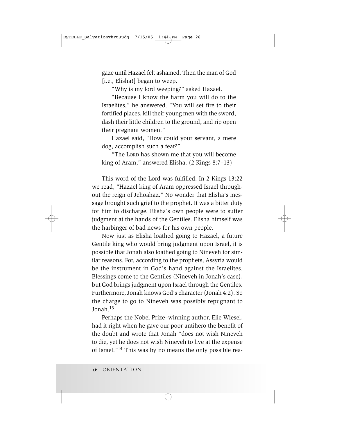gaze until Hazael felt ashamed. Then the man of God [i.e., Elisha!] began to weep.

"Why is my lord weeping?" asked Hazael.

"Because I know the harm you will do to the Israelites," he answered. "You will set fire to their fortified places, kill their young men with the sword, dash their little children to the ground, and rip open their pregnant women."

Hazael said, "How could your servant, a mere dog, accomplish such a feat?"

"The LORD has shown me that you will become king of Aram," answered Elisha. (2 Kings 8:7–13)

This word of the Lord was fulfilled. In 2 Kings 13:22 we read, "Hazael king of Aram oppressed Israel throughout the reign of Jehoahaz." No wonder that Elisha's message brought such grief to the prophet. It was a bitter duty for him to discharge. Elisha's own people were to suffer judgment at the hands of the Gentiles. Elisha himself was the harbinger of bad news for his own people.

Now just as Elisha loathed going to Hazael, a future Gentile king who would bring judgment upon Israel, it is possible that Jonah also loathed going to Nineveh for similar reasons. For, according to the prophets, Assyria would be the instrument in God's hand against the Israelites. Blessings come to the Gentiles (Nineveh in Jonah's case), but God brings judgment upon Israel through the Gentiles. Furthermore, Jonah knows God's character (Jonah 4:2). So the charge to go to Nineveh was possibly repugnant to Jonah.<sup>13</sup>

Perhaps the Nobel Prize–winning author, Elie Wiesel, had it right when he gave our poor antihero the benefit of the doubt and wrote that Jonah "does not wish Nineveh to die, yet he does not wish Nineveh to live at the expense of Israel."14 This was by no means the only possible rea-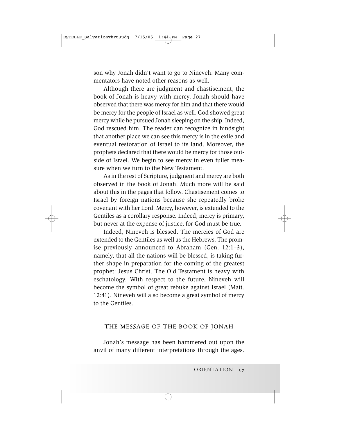son why Jonah didn't want to go to Nineveh. Many commentators have noted other reasons as well.

Although there are judgment and chastisement, the book of Jonah is heavy with mercy. Jonah should have observed that there was mercy for him and that there would be mercy for the people of Israel as well. God showed great mercy while he pursued Jonah sleeping on the ship. Indeed, God rescued him. The reader can recognize in hindsight that another place we can see this mercy is in the exile and eventual restoration of Israel to its land. Moreover, the prophets declared that there would be mercy for those outside of Israel. We begin to see mercy in even fuller measure when we turn to the New Testament.

As in the rest of Scripture, judgment and mercy are both observed in the book of Jonah. Much more will be said about this in the pages that follow. Chastisement comes to Israel by foreign nations because she repeatedly broke covenant with her Lord. Mercy, however, is extended to the Gentiles as a corollary response. Indeed, mercy is primary, but never at the expense of justice, for God must be true.

Indeed, Nineveh is blessed. The mercies of God are extended to the Gentiles as well as the Hebrews. The promise previously announced to Abraham (Gen. 12:1–3), namely, that all the nations will be blessed, is taking further shape in preparation for the coming of the greatest prophet: Jesus Christ. The Old Testament is heavy with eschatology. With respect to the future, Nineveh will become the symbol of great rebuke against Israel (Matt. 12:41). Nineveh will also become a great symbol of mercy to the Gentiles.

## **THE MESSAGE OF THE BOOK OF JONAH**

Jonah's message has been hammered out upon the anvil of many different interpretations through the ages.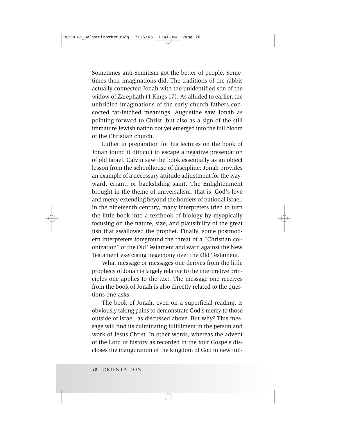Sometimes anti-Semitism got the better of people. Sometimes their imaginations did. The traditions of the rabbis actually connected Jonah with the unidentified son of the widow of Zarephath (1 Kings 17). As alluded to earlier, the unbridled imaginations of the early church fathers concocted far-fetched meanings. Augustine saw Jonah as pointing forward to Christ, but also as a sign of the still immature Jewish nation not yet emerged into the full bloom of the Christian church.

Luther in preparation for his lectures on the book of Jonah found it difficult to escape a negative presentation of old Israel. Calvin saw the book essentially as an object lesson from the schoolhouse of discipline: Jonah provides an example of a necessary attitude adjustment for the wayward, errant, or backsliding saint. The Enlightenment brought in the theme of universalism, that is, God's love and mercy extending beyond the borders of national Israel. In the nineteenth century, many interpreters tried to turn the little book into a textbook of biology by myopically focusing on the nature, size, and plausibility of the great fish that swallowed the prophet. Finally, some postmodern interpreters foreground the threat of a "Christian colonization" of the Old Testament and warn against the New Testament exercising hegemony over the Old Testament.

What message or messages one derives from the little prophecy of Jonah is largely relative to the interpretive principles one applies to the text. The message one receives from the book of Jonah is also directly related to the questions one asks.

The book of Jonah, even on a superficial reading, is obviously taking pains to demonstrate God's mercy to those outside of Israel, as discussed above. But why? This message will find its culminating fulfillment in the person and work of Jesus Christ. In other words, whereas the advent of the Lord of history as recorded in the four Gospels discloses the inauguration of the kingdom of God in new full-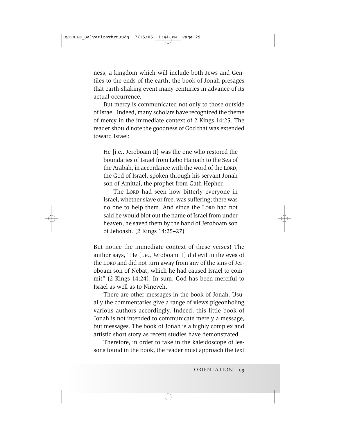ness, a kingdom which will include both Jews and Gentiles to the ends of the earth, the book of Jonah presages that earth-shaking event many centuries in advance of its actual occurrence.

But mercy is communicated not only to those outside of Israel. Indeed, many scholars have recognized the theme of mercy in the immediate context of 2 Kings 14:25. The reader should note the goodness of God that was extended toward Israel:

He [i.e., Jeroboam II] was the one who restored the boundaries of Israel from Lebo Hamath to the Sea of the Arabah, in accordance with the word of the LORD, the God of Israel, spoken through his servant Jonah son of Amittai, the prophet from Gath Hepher.

The LORD had seen how bitterly everyone in Israel, whether slave or free, was suffering; there was no one to help them. And since the LORD had not said he would blot out the name of Israel from under heaven, he saved them by the hand of Jeroboam son of Jehoash. (2 Kings 14:25–27)

But notice the immediate context of these verses! The author says, "He [i.e., Jeroboam II] did evil in the eyes of the LORD and did not turn away from any of the sins of Jeroboam son of Nebat, which he had caused Israel to commit" (2 Kings 14:24). In sum, God has been merciful to Israel as well as to Nineveh.

There are other messages in the book of Jonah. Usually the commentaries give a range of views pigeonholing various authors accordingly. Indeed, this little book of Jonah is not intended to communicate merely a message, but messages. The book of Jonah is a highly complex and artistic short story as recent studies have demonstrated.

Therefore, in order to take in the kaleidoscope of lessons found in the book, the reader must approach the text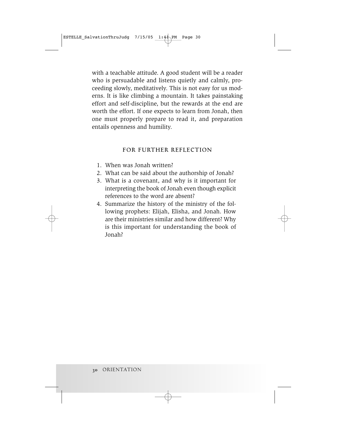with a teachable attitude. A good student will be a reader who is persuadable and listens quietly and calmly, proceeding slowly, meditatively. This is not easy for us moderns. It is like climbing a mountain. It takes painstaking effort and self-discipline, but the rewards at the end are worth the effort. If one expects to learn from Jonah, then one must properly prepare to read it, and preparation entails openness and humility.

### **FOR FURTHER REFLECTION**

- 1. When was Jonah written?
- 2. What can be said about the authorship of Jonah?
- 3. What is a covenant, and why is it important for interpreting the book of Jonah even though explicit references to the word are absent?
- 4. Summarize the history of the ministry of the following prophets: Elijah, Elisha, and Jonah. How are their ministries similar and how different? Why is this important for understanding the book of Jonah?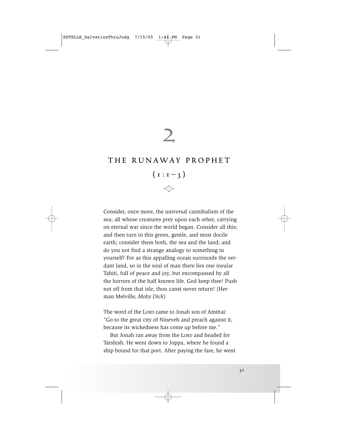ESTELLE\_SalvationThruJudg  $7/15/05$  1:41 PM Page 31

# 2

## **THE RUNAWAY PROPHET**

 $(i:i-j)$ A

Consider, once more, the universal cannibalism of the sea; all whose creatures prey upon each other, carrying on eternal war since the world began. Consider all this; and then turn to this green, gentle, and most docile earth; consider them both, the sea and the land; and do you not find a strange analogy to something in yourself? For as this appalling ocean surrounds the verdant land, so in the soul of man there lies one insular Tahiti, full of peace and joy, but encompassed by all the horrors of the half known life. God keep thee! Push not off from that isle, thou canst never return! (Herman Melville, *Moby Dick*)

The word of the LORD came to Jonah son of Amittai: "Go to the great city of Nineveh and preach against it, because its wickedness has come up before me."

But Jonah ran away from the LORD and headed for Tarshish. He went down to Joppa, where he found a ship bound for that port. After paying the fare, he went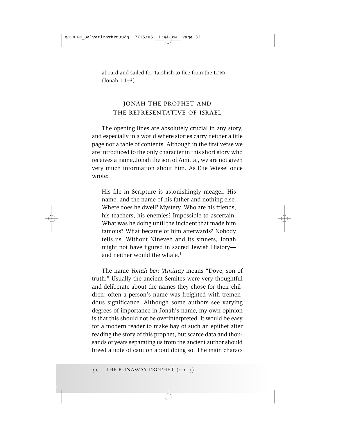ESTELLE\_SalvationThruJudg 7/15/05 1:44 PM Page 32

aboard and sailed for Tarshish to flee from the LORD. (Jonah 1:1–3)

## **JONAH THE PROPHET AND THE REPRESENTATIVE OF ISRAEL**

The opening lines are absolutely crucial in any story, and especially in a world where stories carry neither a title page nor a table of contents. Although in the first verse we are introduced to the only character in this short story who receives a name, Jonah the son of Amittai, we are not given very much information about him. As Elie Wiesel once wrote:

His file in Scripture is astonishingly meager. His name, and the name of his father and nothing else. Where does he dwell? Mystery. Who are his friends, his teachers, his enemies? Impossible to ascertain. What was he doing until the incident that made him famous? What became of him afterwards? Nobody tells us. Without Nineveh and its sinners, Jonah might not have figured in sacred Jewish History and neither would the whale. $<sup>1</sup>$ </sup>

The name *Yonah ben 'Amittay* means "Dove, son of truth." Usually the ancient Semites were very thoughtful and deliberate about the names they chose for their children; often a person's name was freighted with tremendous significance. Although some authors see varying degrees of importance in Jonah's name, my own opinion is that this should not be overinterpreted. It would be easy for a modern reader to make hay of such an epithet after reading the story of this prophet, but scarce data and thousands of years separating us from the ancient author should breed a note of caution about doing so. The main charac-

32 THE RUNAWAY PROPHET  $(I:I-3)$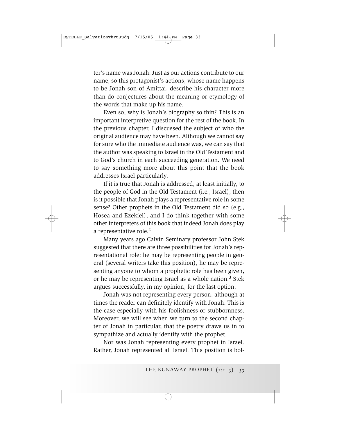ter's name was Jonah. Just as our actions contribute to our name, so this protagonist's actions, whose name happens to be Jonah son of Amittai, describe his character more than do conjectures about the meaning or etymology of the words that make up his name.

Even so, why is Jonah's biography so thin? This is an important interpretive question for the rest of the book. In the previous chapter, I discussed the subject of who the original audience may have been. Although we cannot say for sure who the immediate audience was, we can say that the author was speaking to Israel in the Old Testament and to God's church in each succeeding generation. We need to say something more about this point that the book addresses Israel particularly.

If it is true that Jonah is addressed, at least initially, to the people of God in the Old Testament (i.e., Israel), then is it possible that Jonah plays a representative role in some sense? Other prophets in the Old Testament did so (e.g., Hosea and Ezekiel), and I do think together with some other interpreters of this book that indeed Jonah does play a representative role.2

Many years ago Calvin Seminary professor John Stek suggested that there are three possibilities for Jonah's representational role: he may be representing people in general (several writers take this position), he may be representing anyone to whom a prophetic role has been given, or he may be representing Israel as a whole nation.<sup>3</sup> Stek argues successfully, in my opinion, for the last option.

Jonah was not representing every person, although at times the reader can definitely identify with Jonah. This is the case especially with his foolishness or stubbornness. Moreover, we will see when we turn to the second chapter of Jonah in particular, that the poetry draws us in to sympathize and actually identify with the prophet.

Nor was Jonah representing every prophet in Israel. Rather, Jonah represented all Israel. This position is bol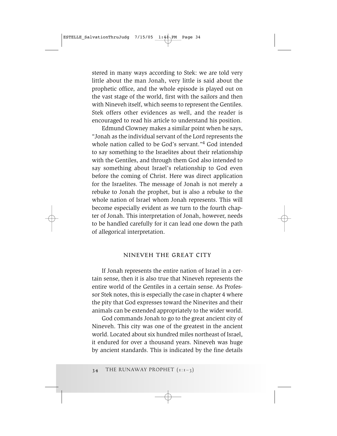stered in many ways according to Stek: we are told very little about the man Jonah, very little is said about the prophetic office, and the whole episode is played out on the vast stage of the world, first with the sailors and then with Nineveh itself, which seems to represent the Gentiles. Stek offers other evidences as well, and the reader is encouraged to read his article to understand his position.

Edmund Clowney makes a similar point when he says, "Jonah as the individual servant of the Lord represents the whole nation called to be God's servant."<sup>4</sup> God intended to say something to the Israelites about their relationship with the Gentiles, and through them God also intended to say something about Israel's relationship to God even before the coming of Christ. Here was direct application for the Israelites. The message of Jonah is not merely a rebuke to Jonah the prophet, but is also a rebuke to the whole nation of Israel whom Jonah represents. This will become especially evident as we turn to the fourth chapter of Jonah. This interpretation of Jonah, however, needs to be handled carefully for it can lead one down the path of allegorical interpretation.

## **NINEVEH THE GREAT CITY**

If Jonah represents the entire nation of Israel in a certain sense, then it is also true that Nineveh represents the entire world of the Gentiles in a certain sense. As Professor Stek notes, this is especially the case in chapter 4 where the pity that God expresses toward the Ninevites and their animals can be extended appropriately to the wider world.

God commands Jonah to go to the great ancient city of Nineveh. This city was one of the greatest in the ancient world. Located about six hundred miles northeast of Israel, it endured for over a thousand years. Nineveh was huge by ancient standards. This is indicated by the fine details

**34** THE RUNAWAY PROPHET (1:1–3)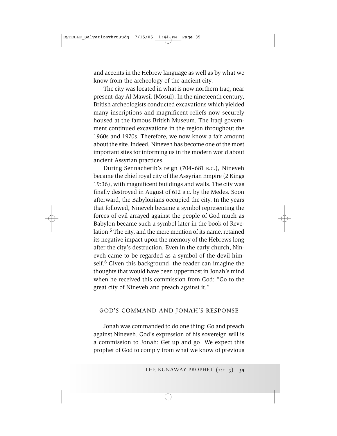and accents in the Hebrew language as well as by what we know from the archeology of the ancient city.

The city was located in what is now northern Iraq, near present-day Al-Mawsil (Mosul). In the nineteenth century, British archeologists conducted excavations which yielded many inscriptions and magnificent reliefs now securely housed at the famous British Museum. The Iraqi government continued excavations in the region throughout the 1960s and 1970s. Therefore, we now know a fair amount about the site. Indeed, Nineveh has become one of the most important sites for informing us in the modern world about ancient Assyrian practices.

During Sennacherib's reign (704–681 B.C.), Nineveh became the chief royal city of the Assyrian Empire (2 Kings 19:36), with magnificent buildings and walls. The city was finally destroyed in August of 612 B.C. by the Medes. Soon afterward, the Babylonians occupied the city. In the years that followed, Nineveh became a symbol representing the forces of evil arrayed against the people of God much as Babylon became such a symbol later in the book of Revelation.<sup>5</sup> The city, and the mere mention of its name, retained its negative impact upon the memory of the Hebrews long after the city's destruction. Even in the early church, Nineveh came to be regarded as a symbol of the devil himself.<sup>6</sup> Given this background, the reader can imagine the thoughts that would have been uppermost in Jonah's mind when he received this commission from God: "Go to the great city of Nineveh and preach against it."

### **GOD'S COMMAND AND JONAH'S RESPONSE**

Jonah was commanded to do one thing: Go and preach against Nineveh. God's expression of his sovereign will is a commission to Jonah: Get up and go! We expect this prophet of God to comply from what we know of previous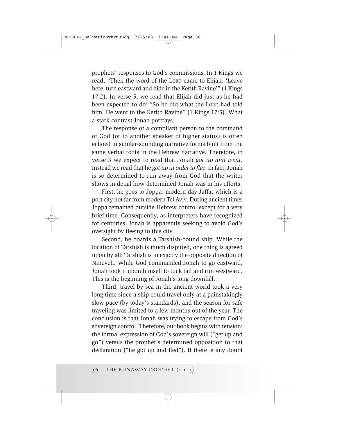prophets' responses to God's commissions. In 1 Kings we read, "Then the word of the LORD came to Elijah: 'Leave here, turn eastward and hide in the Kerith Ravine'" (1 Kings 17:2). In verse 5, we read that Elijah did just as he had been expected to do: "So he did what the LORD had told him. He went to the Kerith Ravine" (1 Kings 17:5). What a stark contrast Jonah portrays.

The response of a compliant person to the command of God (or to another speaker of higher status) is often echoed in similar-sounding narrative forms built from the same verbal roots in the Hebrew narrative. Therefore, in verse 3 we expect to read that Jonah *got up and went*. Instead we read that he *got up in order to flee*. In fact, Jonah is so determined to run away from God that the writer shows in detail how determined Jonah was in his efforts.

First, he goes to Joppa, modern-day Jaffa, which is a port city not far from modern Tel Aviv. During ancient times Joppa remained outside Hebrew control except for a very brief time. Consequently, as interpreters have recognized for centuries, Jonah is apparently seeking to avoid God's oversight by fleeing to this city.

Second, he boards a Tarshish-bound ship. While the location of Tarshish is much disputed, one thing is agreed upon by all: Tarshish is in exactly the opposite direction of Nineveh. While God commanded Jonah to go eastward, Jonah took it upon himself to tuck tail and run westward. This is the beginning of Jonah's long downfall.

Third, travel by sea in the ancient world took a very long time since a ship could travel only at a painstakingly slow pace (by today's standards), and the season for safe traveling was limited to a few months out of the year. The conclusion is that Jonah was trying to escape from God's sovereign control. Therefore, our book begins with tension: the formal expression of God's sovereign will ("get up and go") versus the prophet's determined opposition to that declaration ("he got up and fled"). If there is any doubt

#### 36 THE RUNAWAY PROPHET  $(1:1-z)$